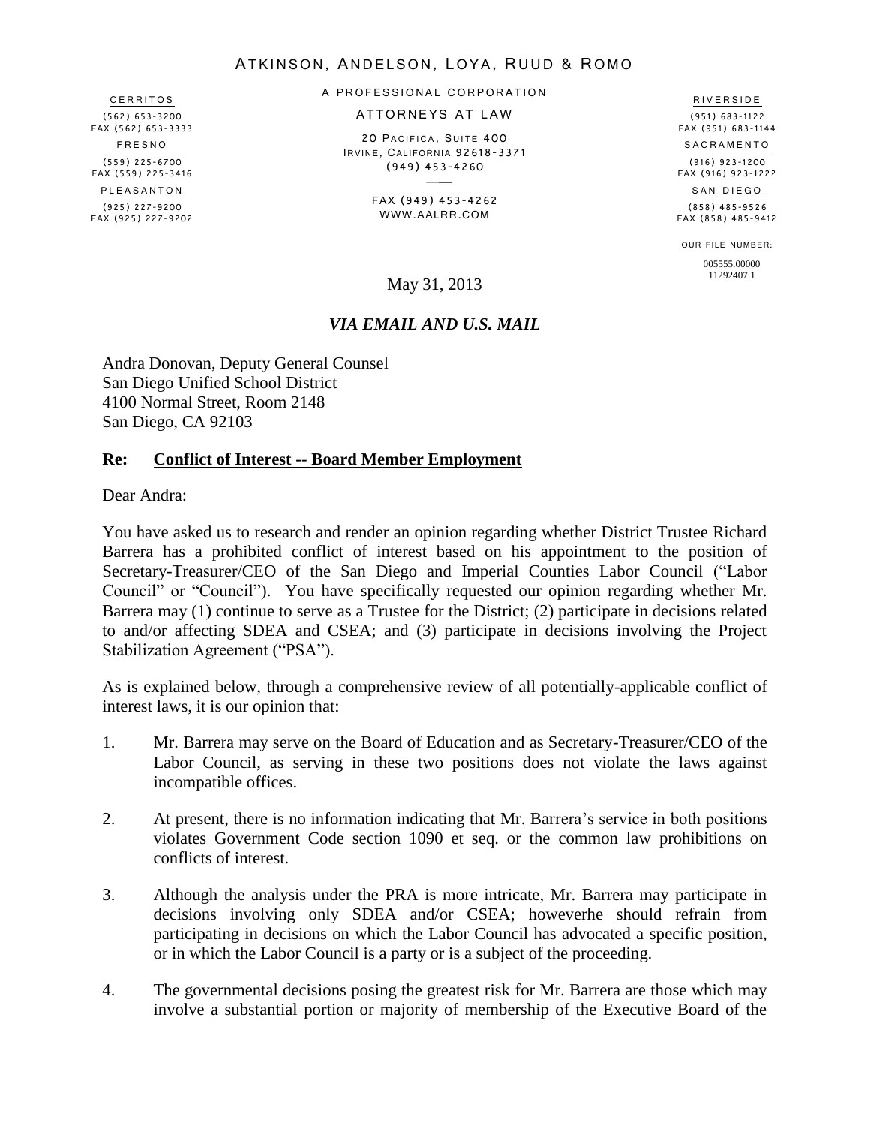#### ATKINSON, ANDELSON, LOYA, RUUD & ROMO

**CERRITOS** (562) 653-3200 FAX (562) 653-3333 F R E S N O (559) 225-6700 FAX (559) 225-3416 P L E A S A N T O N (925) 227-9200 FAX (925) 227-9202 A PROFESSIONAL CORPORATION

ATTORNEYS AT LAW

20 PACIFICA, SUITE 400 IRVINE, CALIFORNIA 92618-3371 (949) 453-4260

> FAX (949) 453-4262 WWW.AALRR.COM

(951) 683-1122 FAX (951) 683-1144 S A C R A M E N T O (916) 923-1200 FAX (916) 923-1222

R I V E R S I D E

SAN DIEGO (858) 485-9526 FAX (858) 485-9412

OUR FILE NUMBER: 005555.00000

#### *VIA EMAIL AND U.S. MAIL*

Andra Donovan, Deputy General Counsel San Diego Unified School District 4100 Normal Street, Room 2148 San Diego, CA 92103

#### **Re: Conflict of Interest -- Board Member Employment**

Dear Andra:

You have asked us to research and render an opinion regarding whether District Trustee Richard Barrera has a prohibited conflict of interest based on his appointment to the position of Secretary-Treasurer/CEO of the San Diego and Imperial Counties Labor Council ("Labor Council" or "Council"). You have specifically requested our opinion regarding whether Mr. Barrera may (1) continue to serve as a Trustee for the District; (2) participate in decisions related to and/or affecting SDEA and CSEA; and (3) participate in decisions involving the Project Stabilization Agreement ("PSA").

As is explained below, through a comprehensive review of all potentially-applicable conflict of interest laws, it is our opinion that:

- 1. Mr. Barrera may serve on the Board of Education and as Secretary-Treasurer/CEO of the Labor Council, as serving in these two positions does not violate the laws against incompatible offices.
- 2. At present, there is no information indicating that Mr. Barrera's service in both positions violates Government Code section 1090 et seq. or the common law prohibitions on conflicts of interest.
- 3. Although the analysis under the PRA is more intricate, Mr. Barrera may participate in decisions involving only SDEA and/or CSEA; howeverhe should refrain from participating in decisions on which the Labor Council has advocated a specific position, or in which the Labor Council is a party or is a subject of the proceeding.
- 4. The governmental decisions posing the greatest risk for Mr. Barrera are those which may involve a substantial portion or majority of membership of the Executive Board of the

11292407.1 May 31, 2013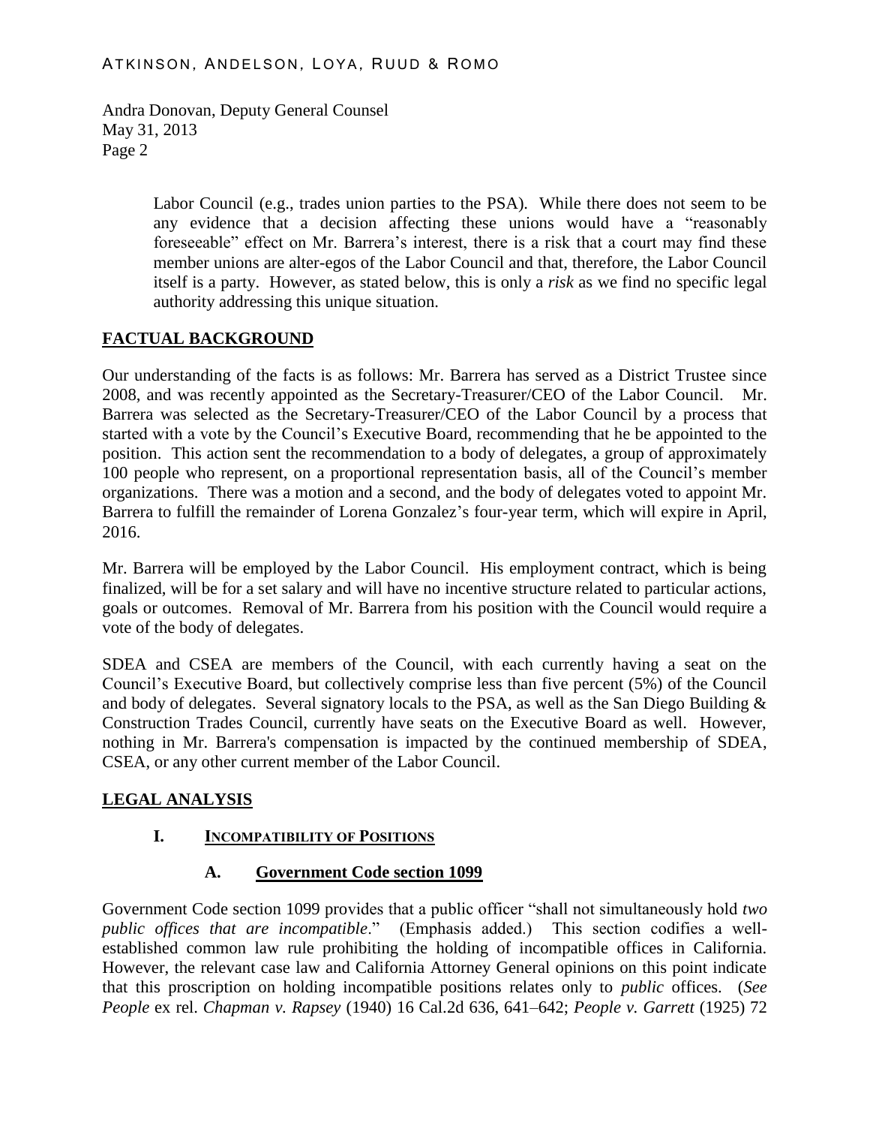> Labor Council (e.g., trades union parties to the PSA). While there does not seem to be any evidence that a decision affecting these unions would have a "reasonably foreseeable" effect on Mr. Barrera's interest, there is a risk that a court may find these member unions are alter-egos of the Labor Council and that, therefore, the Labor Council itself is a party. However, as stated below, this is only a *risk* as we find no specific legal authority addressing this unique situation.

# **FACTUAL BACKGROUND**

Our understanding of the facts is as follows: Mr. Barrera has served as a District Trustee since 2008, and was recently appointed as the Secretary-Treasurer/CEO of the Labor Council. Mr. Barrera was selected as the Secretary-Treasurer/CEO of the Labor Council by a process that started with a vote by the Council's Executive Board, recommending that he be appointed to the position. This action sent the recommendation to a body of delegates, a group of approximately 100 people who represent, on a proportional representation basis, all of the Council's member organizations. There was a motion and a second, and the body of delegates voted to appoint Mr. Barrera to fulfill the remainder of Lorena Gonzalez's four-year term, which will expire in April, 2016.

Mr. Barrera will be employed by the Labor Council. His employment contract, which is being finalized, will be for a set salary and will have no incentive structure related to particular actions, goals or outcomes. Removal of Mr. Barrera from his position with the Council would require a vote of the body of delegates.

SDEA and CSEA are members of the Council, with each currently having a seat on the Council's Executive Board, but collectively comprise less than five percent (5%) of the Council and body of delegates. Several signatory locals to the PSA, as well as the San Diego Building & Construction Trades Council, currently have seats on the Executive Board as well. However, nothing in Mr. Barrera's compensation is impacted by the continued membership of SDEA, CSEA, or any other current member of the Labor Council.

# **LEGAL ANALYSIS**

# **I. INCOMPATIBILITY OF POSITIONS**

# **A. Government Code section 1099**

Government Code section 1099 provides that a public officer "shall not simultaneously hold *two public offices that are incompatible*." (Emphasis added.) This section codifies a wellestablished common law rule prohibiting the holding of incompatible offices in California. However, the relevant case law and California Attorney General opinions on this point indicate that this proscription on holding incompatible positions relates only to *public* offices. (*See People* ex rel. *Chapman v. Rapsey* (1940) 16 Cal.2d 636, 641–642; *People v. Garrett* (1925) 72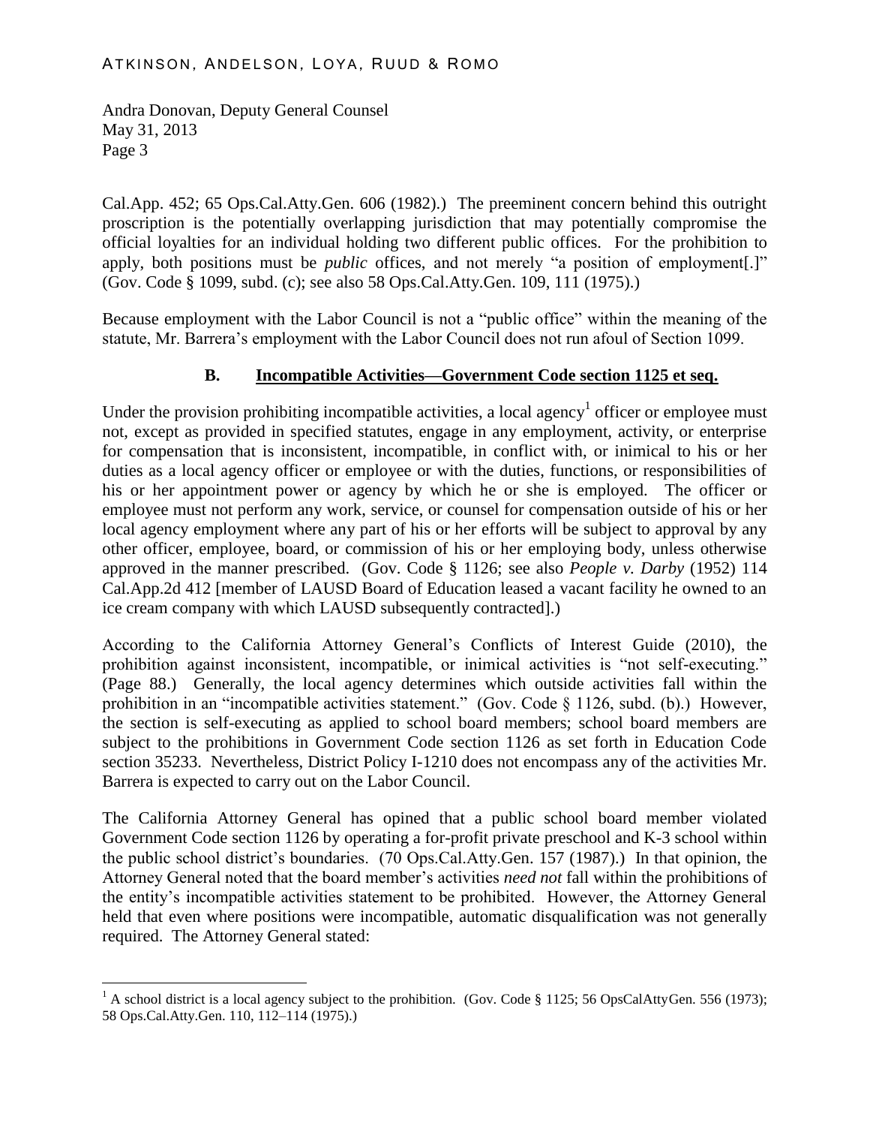$\overline{a}$ 

Cal.App. 452; 65 Ops.Cal.Atty.Gen. 606 (1982).) The preeminent concern behind this outright proscription is the potentially overlapping jurisdiction that may potentially compromise the official loyalties for an individual holding two different public offices. For the prohibition to apply, both positions must be *public* offices, and not merely "a position of employment[.]" (Gov. Code § 1099, subd. (c); see also 58 Ops.Cal.Atty.Gen. 109, 111 (1975).)

Because employment with the Labor Council is not a "public office" within the meaning of the statute, Mr. Barrera's employment with the Labor Council does not run afoul of Section 1099.

# **B. Incompatible Activities—Government Code section 1125 et seq.**

Under the provision prohibiting incompatible activities, a local agency<sup>1</sup> officer or employee must not, except as provided in specified statutes, engage in any employment, activity, or enterprise for compensation that is inconsistent, incompatible, in conflict with, or inimical to his or her duties as a local agency officer or employee or with the duties, functions, or responsibilities of his or her appointment power or agency by which he or she is employed. The officer or employee must not perform any work, service, or counsel for compensation outside of his or her local agency employment where any part of his or her efforts will be subject to approval by any other officer, employee, board, or commission of his or her employing body, unless otherwise approved in the manner prescribed. (Gov. Code § 1126; see also *People v. Darby* (1952) 114 Cal.App.2d 412 [member of LAUSD Board of Education leased a vacant facility he owned to an ice cream company with which LAUSD subsequently contracted].)

According to the California Attorney General's Conflicts of Interest Guide (2010), the prohibition against inconsistent, incompatible, or inimical activities is "not self-executing." (Page 88.) Generally, the local agency determines which outside activities fall within the prohibition in an "incompatible activities statement." (Gov. Code § 1126, subd. (b).) However, the section is self-executing as applied to school board members; school board members are subject to the prohibitions in Government Code section 1126 as set forth in Education Code section 35233. Nevertheless, District Policy I-1210 does not encompass any of the activities Mr. Barrera is expected to carry out on the Labor Council.

The California Attorney General has opined that a public school board member violated Government Code section 1126 by operating a for-profit private preschool and K-3 school within the public school district's boundaries. (70 Ops.Cal.Atty.Gen. 157 (1987).) In that opinion, the Attorney General noted that the board member's activities *need not* fall within the prohibitions of the entity's incompatible activities statement to be prohibited. However, the Attorney General held that even where positions were incompatible, automatic disqualification was not generally required. The Attorney General stated:

<sup>&</sup>lt;sup>1</sup> A school district is a local agency subject to the prohibition. (Gov. Code § 1125; 56 OpsCalAttyGen. 556 (1973); 58 Ops.Cal.Atty.Gen. 110, 112–114 (1975).)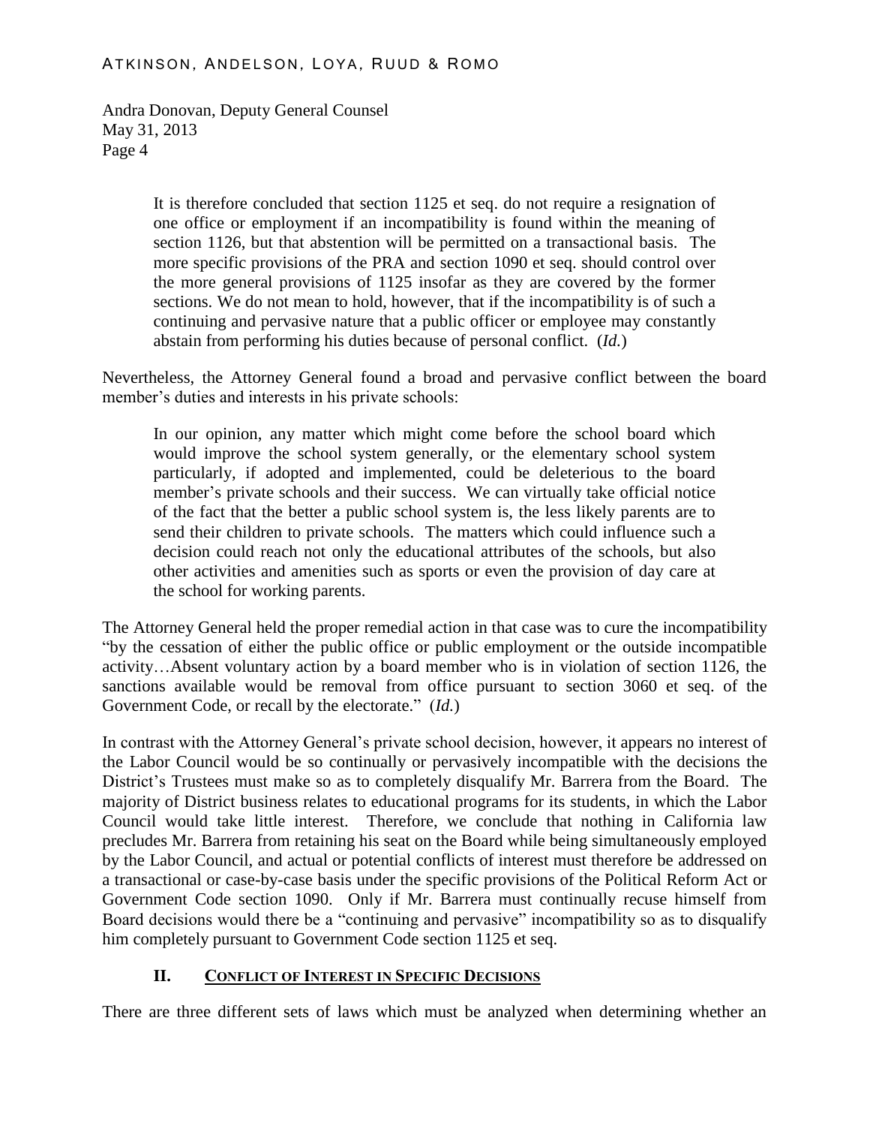#### ATKINSON, ANDELSON, LOYA, RUUD & ROMO

Andra Donovan, Deputy General Counsel May 31, 2013 Page 4

> It is therefore concluded that section 1125 et seq. do not require a resignation of one office or employment if an incompatibility is found within the meaning of section 1126, but that abstention will be permitted on a transactional basis. The more specific provisions of the PRA and section 1090 et seq. should control over the more general provisions of 1125 insofar as they are covered by the former sections. We do not mean to hold, however, that if the incompatibility is of such a continuing and pervasive nature that a public officer or employee may constantly abstain from performing his duties because of personal conflict. (*Id.*)

Nevertheless, the Attorney General found a broad and pervasive conflict between the board member's duties and interests in his private schools:

In our opinion, any matter which might come before the school board which would improve the school system generally, or the elementary school system particularly, if adopted and implemented, could be deleterious to the board member's private schools and their success. We can virtually take official notice of the fact that the better a public school system is, the less likely parents are to send their children to private schools. The matters which could influence such a decision could reach not only the educational attributes of the schools, but also other activities and amenities such as sports or even the provision of day care at the school for working parents.

The Attorney General held the proper remedial action in that case was to cure the incompatibility "by the cessation of either the public office or public employment or the outside incompatible activity…Absent voluntary action by a board member who is in violation of section 1126, the sanctions available would be removal from office pursuant to section 3060 et seq. of the Government Code, or recall by the electorate." (*Id.*)

In contrast with the Attorney General's private school decision, however, it appears no interest of the Labor Council would be so continually or pervasively incompatible with the decisions the District's Trustees must make so as to completely disqualify Mr. Barrera from the Board. The majority of District business relates to educational programs for its students, in which the Labor Council would take little interest. Therefore, we conclude that nothing in California law precludes Mr. Barrera from retaining his seat on the Board while being simultaneously employed by the Labor Council, and actual or potential conflicts of interest must therefore be addressed on a transactional or case-by-case basis under the specific provisions of the Political Reform Act or Government Code section 1090. Only if Mr. Barrera must continually recuse himself from Board decisions would there be a "continuing and pervasive" incompatibility so as to disqualify him completely pursuant to Government Code section 1125 et seq.

# **II. CONFLICT OF INTEREST IN SPECIFIC DECISIONS**

There are three different sets of laws which must be analyzed when determining whether an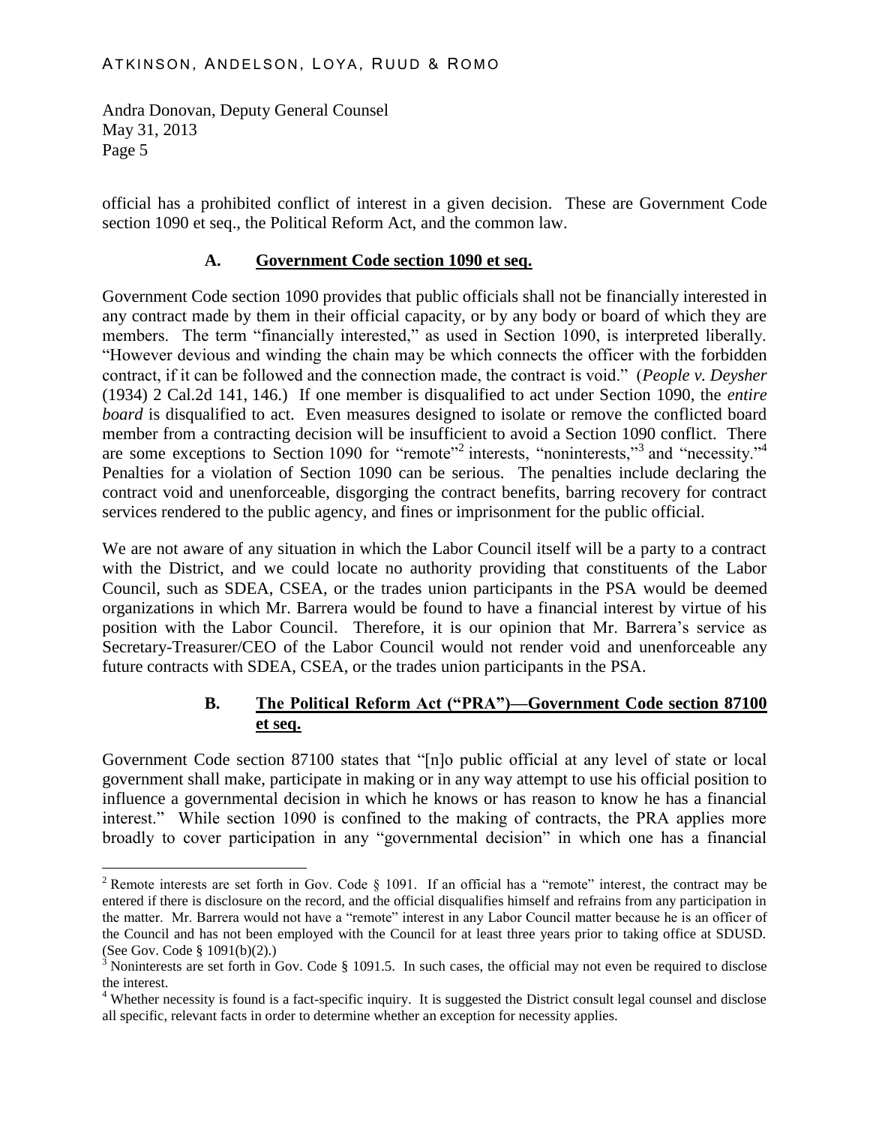$\overline{a}$ 

official has a prohibited conflict of interest in a given decision. These are Government Code section 1090 et seq., the Political Reform Act, and the common law.

### **A. Government Code section 1090 et seq.**

Government Code section 1090 provides that public officials shall not be financially interested in any contract made by them in their official capacity, or by any body or board of which they are members. The term "financially interested," as used in Section 1090, is interpreted liberally. "However devious and winding the chain may be which connects the officer with the forbidden contract, if it can be followed and the connection made, the contract is void." (*People v. Deysher* (1934) 2 Cal.2d 141, 146.) If one member is disqualified to act under Section 1090, the *entire board* is disqualified to act. Even measures designed to isolate or remove the conflicted board member from a contracting decision will be insufficient to avoid a Section 1090 conflict. There are some exceptions to Section 1090 for "remote"<sup>2</sup> interests, "noninterests,"<sup>3</sup> and "necessity."<sup>4</sup> Penalties for a violation of Section 1090 can be serious. The penalties include declaring the contract void and unenforceable, disgorging the contract benefits, barring recovery for contract services rendered to the public agency, and fines or imprisonment for the public official.

We are not aware of any situation in which the Labor Council itself will be a party to a contract with the District, and we could locate no authority providing that constituents of the Labor Council, such as SDEA, CSEA, or the trades union participants in the PSA would be deemed organizations in which Mr. Barrera would be found to have a financial interest by virtue of his position with the Labor Council. Therefore, it is our opinion that Mr. Barrera's service as Secretary-Treasurer/CEO of the Labor Council would not render void and unenforceable any future contracts with SDEA, CSEA, or the trades union participants in the PSA.

# **B. The Political Reform Act ("PRA")—Government Code section 87100 et seq.**

Government Code section 87100 states that "[n]o public official at any level of state or local government shall make, participate in making or in any way attempt to use his official position to influence a governmental decision in which he knows or has reason to know he has a financial interest." While section 1090 is confined to the making of contracts, the PRA applies more broadly to cover participation in any "governmental decision" in which one has a financial

<sup>&</sup>lt;sup>2</sup> Remote interests are set forth in Gov. Code  $\S$  1091. If an official has a "remote" interest, the contract may be entered if there is disclosure on the record, and the official disqualifies himself and refrains from any participation in the matter. Mr. Barrera would not have a "remote" interest in any Labor Council matter because he is an officer of the Council and has not been employed with the Council for at least three years prior to taking office at SDUSD. (See Gov. Code § 1091(b)(2).)

 $3$  Noninterests are set forth in Gov. Code § 1091.5. In such cases, the official may not even be required to disclose the interest.

<sup>&</sup>lt;sup>4</sup> Whether necessity is found is a fact-specific inquiry. It is suggested the District consult legal counsel and disclose all specific, relevant facts in order to determine whether an exception for necessity applies.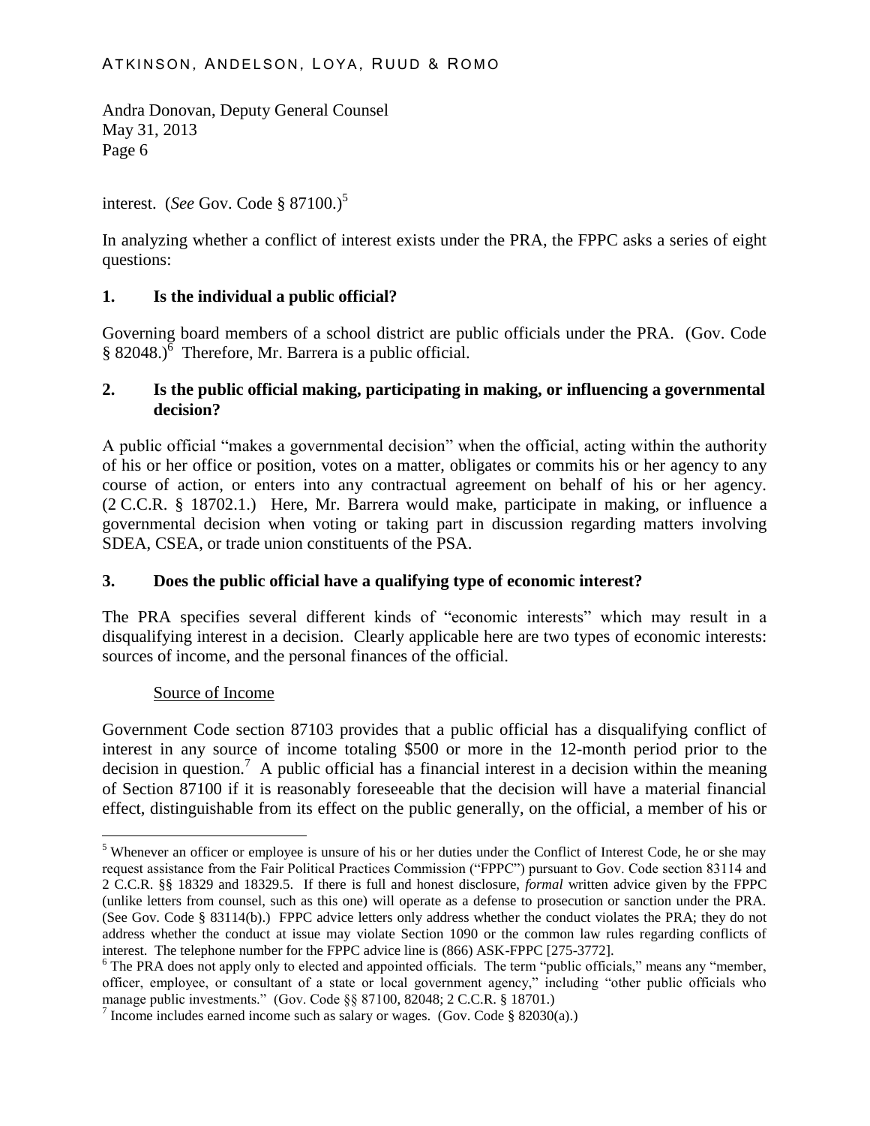interest. (*See* Gov. Code § 87100.)<sup>5</sup>

In analyzing whether a conflict of interest exists under the PRA, the FPPC asks a series of eight questions:

#### **1. Is the individual a public official?**

Governing board members of a school district are public officials under the PRA. (Gov. Code § 82048.) $\overline{6}$  Therefore, Mr. Barrera is a public official.

### **2. Is the public official making, participating in making, or influencing a governmental decision?**

A public official "makes a governmental decision" when the official, acting within the authority of his or her office or position, votes on a matter, obligates or commits his or her agency to any course of action, or enters into any contractual agreement on behalf of his or her agency. (2 C.C.R. § 18702.1.) Here, Mr. Barrera would make, participate in making, or influence a governmental decision when voting or taking part in discussion regarding matters involving SDEA, CSEA, or trade union constituents of the PSA.

# **3. Does the public official have a qualifying type of economic interest?**

The PRA specifies several different kinds of "economic interests" which may result in a disqualifying interest in a decision. Clearly applicable here are two types of economic interests: sources of income, and the personal finances of the official.

#### Source of Income

 $\overline{a}$ 

Government Code section 87103 provides that a public official has a disqualifying conflict of interest in any source of income totaling \$500 or more in the 12-month period prior to the decision in question.<sup>7</sup> A public official has a financial interest in a decision within the meaning of Section 87100 if it is reasonably foreseeable that the decision will have a material financial effect, distinguishable from its effect on the public generally, on the official, a member of his or

<sup>&</sup>lt;sup>5</sup> Whenever an officer or employee is unsure of his or her duties under the Conflict of Interest Code, he or she may request assistance from the Fair Political Practices Commission ("FPPC") pursuant to Gov. Code section 83114 and 2 C.C.R. §§ 18329 and 18329.5. If there is full and honest disclosure, *formal* written advice given by the FPPC (unlike letters from counsel, such as this one) will operate as a defense to prosecution or sanction under the PRA. (See Gov. Code § 83114(b).) FPPC advice letters only address whether the conduct violates the PRA; they do not address whether the conduct at issue may violate Section 1090 or the common law rules regarding conflicts of interest. The telephone number for the FPPC advice line is (866) ASK-FPPC [275-3772].

<sup>&</sup>lt;sup>6</sup> The PRA does not apply only to elected and appointed officials. The term "public officials," means any "member, officer, employee, or consultant of a state or local government agency," including "other public officials who manage public investments." (Gov. Code §§ 87100, 82048; 2 C.C.R. § 18701.)

<sup>&</sup>lt;sup>7</sup> Income includes earned income such as salary or wages. (Gov. Code § 82030(a).)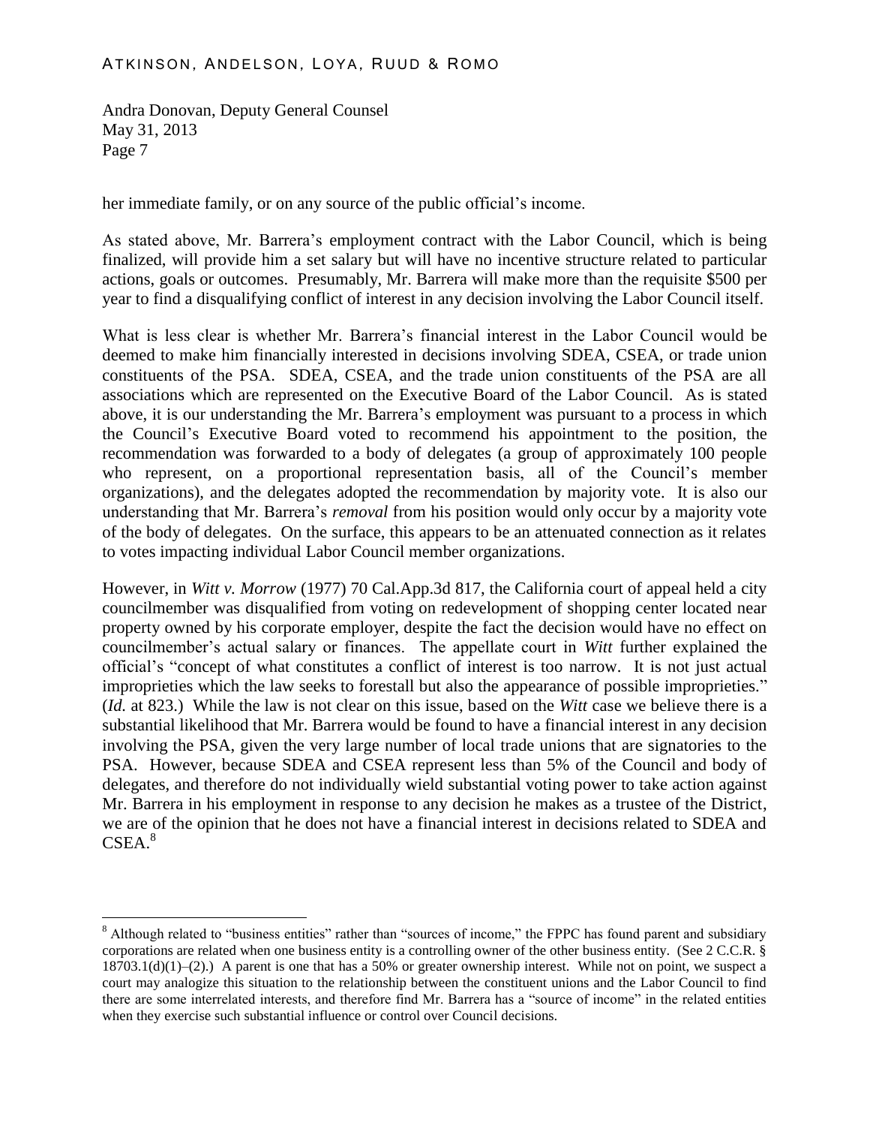$\overline{a}$ 

her immediate family, or on any source of the public official's income.

As stated above, Mr. Barrera's employment contract with the Labor Council, which is being finalized, will provide him a set salary but will have no incentive structure related to particular actions, goals or outcomes. Presumably, Mr. Barrera will make more than the requisite \$500 per year to find a disqualifying conflict of interest in any decision involving the Labor Council itself.

What is less clear is whether Mr. Barrera's financial interest in the Labor Council would be deemed to make him financially interested in decisions involving SDEA, CSEA, or trade union constituents of the PSA. SDEA, CSEA, and the trade union constituents of the PSA are all associations which are represented on the Executive Board of the Labor Council. As is stated above, it is our understanding the Mr. Barrera's employment was pursuant to a process in which the Council's Executive Board voted to recommend his appointment to the position, the recommendation was forwarded to a body of delegates (a group of approximately 100 people who represent, on a proportional representation basis, all of the Council's member organizations), and the delegates adopted the recommendation by majority vote. It is also our understanding that Mr. Barrera's *removal* from his position would only occur by a majority vote of the body of delegates. On the surface, this appears to be an attenuated connection as it relates to votes impacting individual Labor Council member organizations.

However, in *Witt v. Morrow* (1977) 70 Cal.App.3d 817, the California court of appeal held a city councilmember was disqualified from voting on redevelopment of shopping center located near property owned by his corporate employer, despite the fact the decision would have no effect on councilmember's actual salary or finances. The appellate court in *Witt* further explained the official's "concept of what constitutes a conflict of interest is too narrow. It is not just actual improprieties which the law seeks to forestall but also the appearance of possible improprieties." (*Id.* at 823.) While the law is not clear on this issue, based on the *Witt* case we believe there is a substantial likelihood that Mr. Barrera would be found to have a financial interest in any decision involving the PSA, given the very large number of local trade unions that are signatories to the PSA. However, because SDEA and CSEA represent less than 5% of the Council and body of delegates, and therefore do not individually wield substantial voting power to take action against Mr. Barrera in his employment in response to any decision he makes as a trustee of the District, we are of the opinion that he does not have a financial interest in decisions related to SDEA and CSEA. 8

<sup>&</sup>lt;sup>8</sup> Although related to "business entities" rather than "sources of income," the FPPC has found parent and subsidiary corporations are related when one business entity is a controlling owner of the other business entity. (See 2 C.C.R. §  $18703.1(d)(1)–(2)$ .) A parent is one that has a 50% or greater ownership interest. While not on point, we suspect a court may analogize this situation to the relationship between the constituent unions and the Labor Council to find there are some interrelated interests, and therefore find Mr. Barrera has a "source of income" in the related entities when they exercise such substantial influence or control over Council decisions.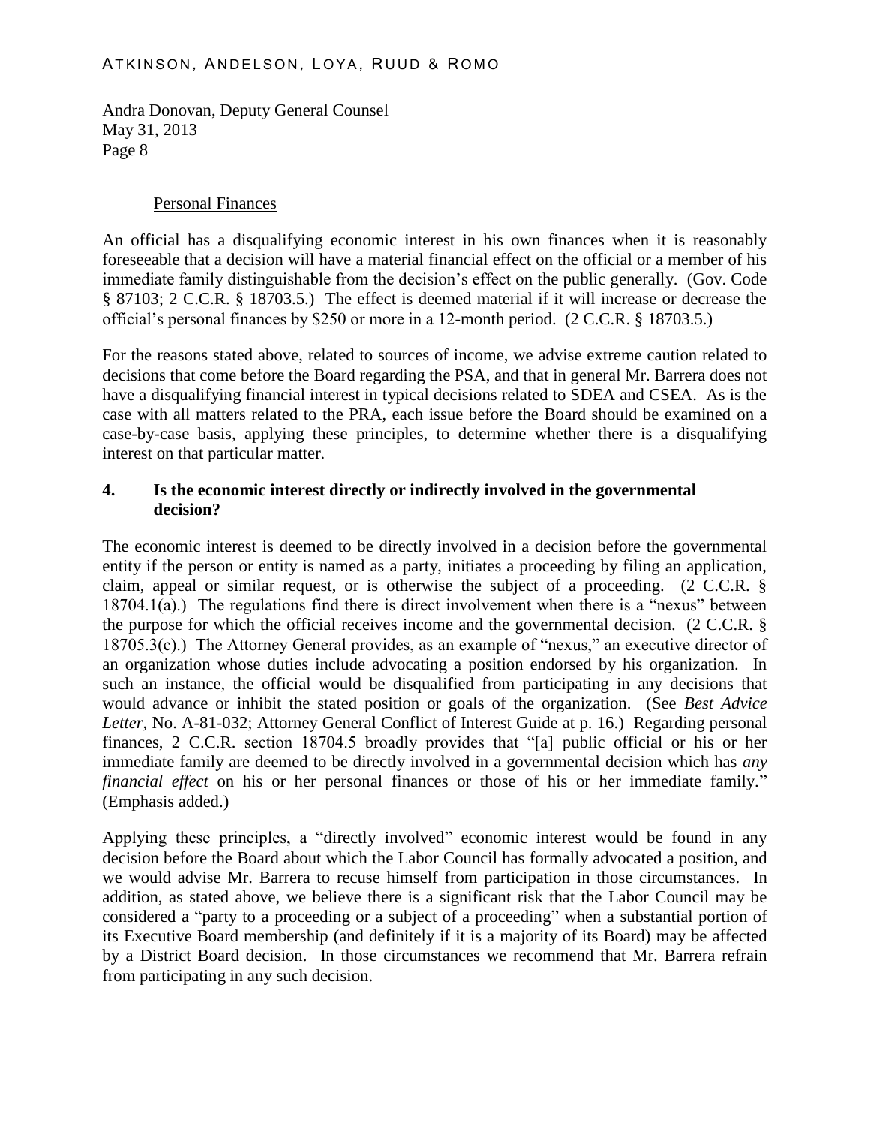#### Personal Finances

An official has a disqualifying economic interest in his own finances when it is reasonably foreseeable that a decision will have a material financial effect on the official or a member of his immediate family distinguishable from the decision's effect on the public generally. (Gov. Code § 87103; 2 C.C.R. § 18703.5.) The effect is deemed material if it will increase or decrease the official's personal finances by \$250 or more in a 12-month period. (2 C.C.R. § 18703.5.)

For the reasons stated above, related to sources of income, we advise extreme caution related to decisions that come before the Board regarding the PSA, and that in general Mr. Barrera does not have a disqualifying financial interest in typical decisions related to SDEA and CSEA. As is the case with all matters related to the PRA, each issue before the Board should be examined on a case-by-case basis, applying these principles, to determine whether there is a disqualifying interest on that particular matter.

#### **4. Is the economic interest directly or indirectly involved in the governmental decision?**

The economic interest is deemed to be directly involved in a decision before the governmental entity if the person or entity is named as a party, initiates a proceeding by filing an application, claim, appeal or similar request, or is otherwise the subject of a proceeding. (2 C.C.R. §  $18704.1(a)$ .) The regulations find there is direct involvement when there is a "nexus" between the purpose for which the official receives income and the governmental decision. (2 C.C.R. § 18705.3(c).) The Attorney General provides, as an example of "nexus," an executive director of an organization whose duties include advocating a position endorsed by his organization. In such an instance, the official would be disqualified from participating in any decisions that would advance or inhibit the stated position or goals of the organization. (See *Best Advice Letter*, No. A-81-032; Attorney General Conflict of Interest Guide at p. 16.) Regarding personal finances, 2 C.C.R. section 18704.5 broadly provides that "[a] public official or his or her immediate family are deemed to be directly involved in a governmental decision which has *any financial effect* on his or her personal finances or those of his or her immediate family." (Emphasis added.)

Applying these principles, a "directly involved" economic interest would be found in any decision before the Board about which the Labor Council has formally advocated a position, and we would advise Mr. Barrera to recuse himself from participation in those circumstances. In addition, as stated above, we believe there is a significant risk that the Labor Council may be considered a "party to a proceeding or a subject of a proceeding" when a substantial portion of its Executive Board membership (and definitely if it is a majority of its Board) may be affected by a District Board decision. In those circumstances we recommend that Mr. Barrera refrain from participating in any such decision.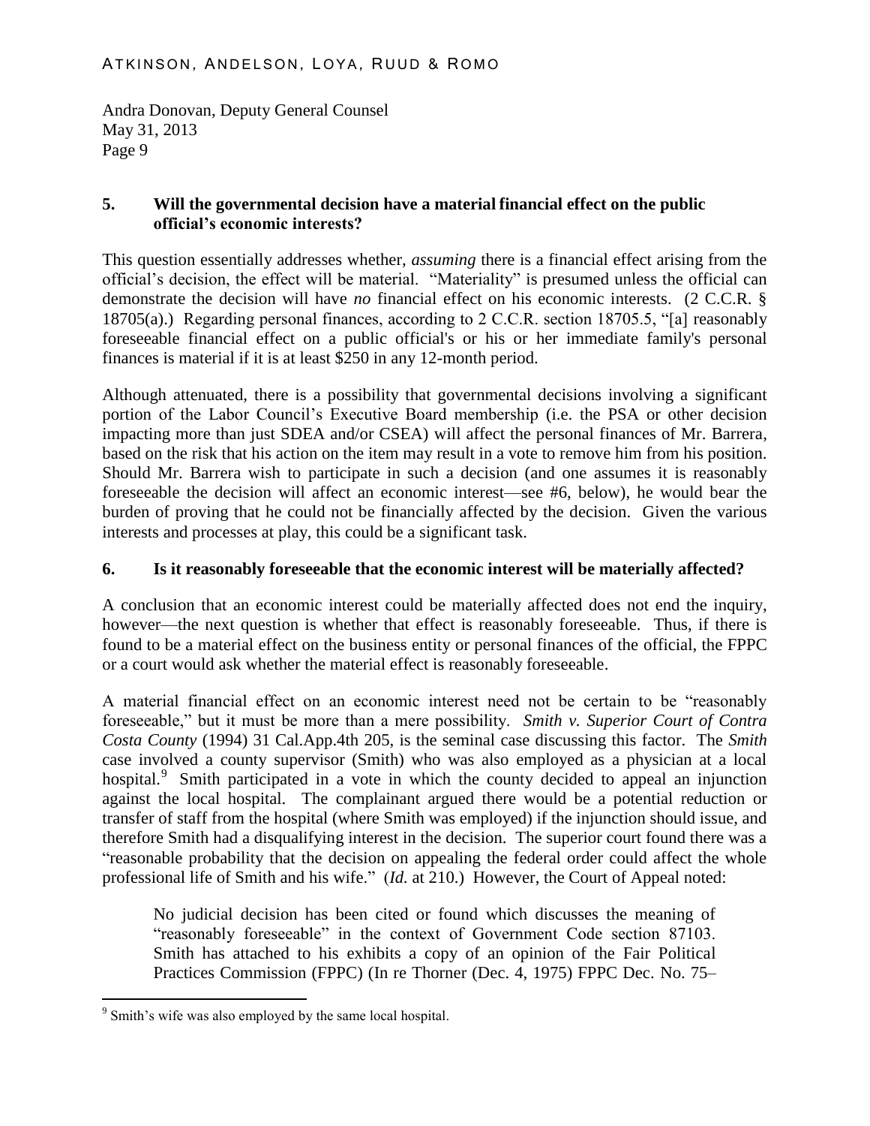### **5. Will the governmental decision have a material financial effect on the public official's economic interests?**

This question essentially addresses whether, *assuming* there is a financial effect arising from the official's decision, the effect will be material. "Materiality" is presumed unless the official can demonstrate the decision will have *no* financial effect on his economic interests. (2 C.C.R. § 18705(a).) Regarding personal finances, according to 2 C.C.R. section 18705.5, "[a] reasonably foreseeable financial effect on a public official's or his or her immediate family's personal finances is material if it is at least \$250 in any 12-month period.

Although attenuated, there is a possibility that governmental decisions involving a significant portion of the Labor Council's Executive Board membership (i.e. the PSA or other decision impacting more than just SDEA and/or CSEA) will affect the personal finances of Mr. Barrera, based on the risk that his action on the item may result in a vote to remove him from his position. Should Mr. Barrera wish to participate in such a decision (and one assumes it is reasonably foreseeable the decision will affect an economic interest—see #6, below), he would bear the burden of proving that he could not be financially affected by the decision. Given the various interests and processes at play, this could be a significant task.

# **6. Is it reasonably foreseeable that the economic interest will be materially affected?**

A conclusion that an economic interest could be materially affected does not end the inquiry, however—the next question is whether that effect is reasonably foreseeable. Thus, if there is found to be a material effect on the business entity or personal finances of the official, the FPPC or a court would ask whether the material effect is reasonably foreseeable.

A material financial effect on an economic interest need not be certain to be "reasonably foreseeable," but it must be more than a mere possibility. *Smith v. Superior Court of Contra Costa County* (1994) 31 Cal.App.4th 205, is the seminal case discussing this factor. The *Smith* case involved a county supervisor (Smith) who was also employed as a physician at a local hospital.<sup>9</sup> Smith participated in a vote in which the county decided to appeal an injunction against the local hospital. The complainant argued there would be a potential reduction or transfer of staff from the hospital (where Smith was employed) if the injunction should issue, and therefore Smith had a disqualifying interest in the decision. The superior court found there was a "reasonable probability that the decision on appealing the federal order could affect the whole professional life of Smith and his wife." (*Id.* at 210.) However, the Court of Appeal noted:

No judicial decision has been cited or found which discusses the meaning of "reasonably foreseeable" in the context of Government Code section 87103. Smith has attached to his exhibits a copy of an opinion of the Fair Political Practices Commission (FPPC) (In re Thorner (Dec. 4, 1975) FPPC Dec. No. 75–

<sup>&</sup>lt;sup>9</sup> Smith's wife was also employed by the same local hospital.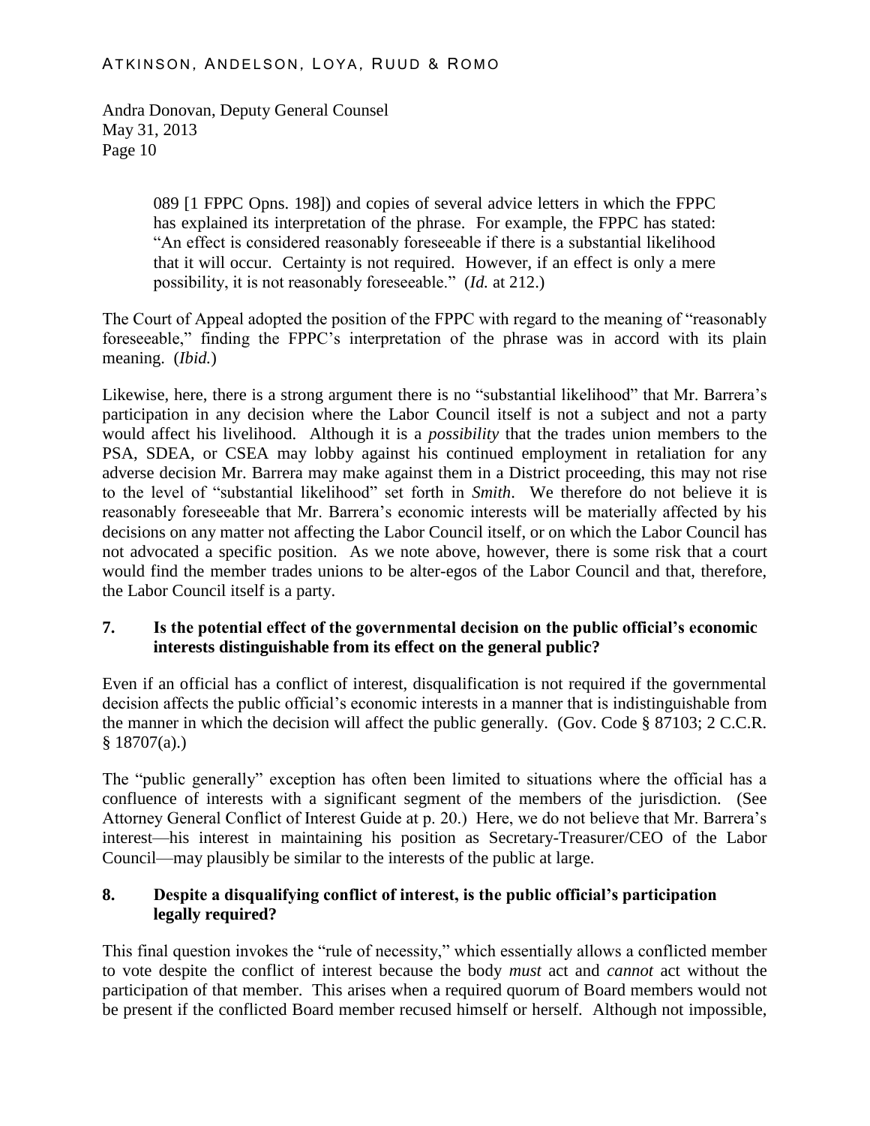> 089 [1 FPPC Opns. 198]) and copies of several advice letters in which the FPPC has explained its interpretation of the phrase. For example, the FPPC has stated: "An effect is considered reasonably foreseeable if there is a substantial likelihood that it will occur. Certainty is not required. However, if an effect is only a mere possibility, it is not reasonably foreseeable." (*Id.* at 212.)

The Court of Appeal adopted the position of the FPPC with regard to the meaning of "reasonably foreseeable," finding the FPPC's interpretation of the phrase was in accord with its plain meaning. (*Ibid.*)

Likewise, here, there is a strong argument there is no "substantial likelihood" that Mr. Barrera's participation in any decision where the Labor Council itself is not a subject and not a party would affect his livelihood. Although it is a *possibility* that the trades union members to the PSA, SDEA, or CSEA may lobby against his continued employment in retaliation for any adverse decision Mr. Barrera may make against them in a District proceeding, this may not rise to the level of "substantial likelihood" set forth in *Smith*. We therefore do not believe it is reasonably foreseeable that Mr. Barrera's economic interests will be materially affected by his decisions on any matter not affecting the Labor Council itself, or on which the Labor Council has not advocated a specific position. As we note above, however, there is some risk that a court would find the member trades unions to be alter-egos of the Labor Council and that, therefore, the Labor Council itself is a party.

#### **7. Is the potential effect of the governmental decision on the public official's economic interests distinguishable from its effect on the general public?**

Even if an official has a conflict of interest, disqualification is not required if the governmental decision affects the public official's economic interests in a manner that is indistinguishable from the manner in which the decision will affect the public generally. (Gov. Code § 87103; 2 C.C.R.  $§ 18707(a).)$ 

The "public generally" exception has often been limited to situations where the official has a confluence of interests with a significant segment of the members of the jurisdiction. (See Attorney General Conflict of Interest Guide at p. 20.) Here, we do not believe that Mr. Barrera's interest—his interest in maintaining his position as Secretary-Treasurer/CEO of the Labor Council—may plausibly be similar to the interests of the public at large.

# **8. Despite a disqualifying conflict of interest, is the public official's participation legally required?**

This final question invokes the "rule of necessity," which essentially allows a conflicted member to vote despite the conflict of interest because the body *must* act and *cannot* act without the participation of that member. This arises when a required quorum of Board members would not be present if the conflicted Board member recused himself or herself. Although not impossible,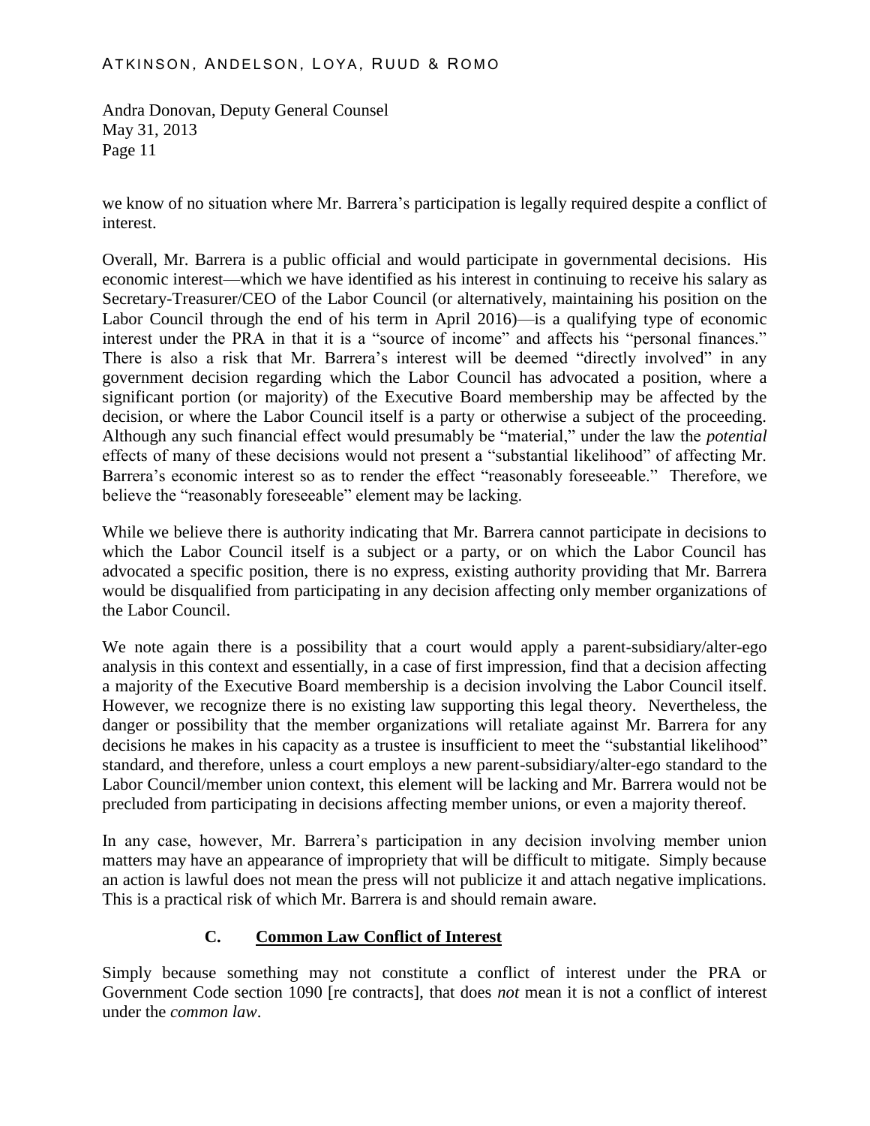we know of no situation where Mr. Barrera's participation is legally required despite a conflict of interest.

Overall, Mr. Barrera is a public official and would participate in governmental decisions. His economic interest—which we have identified as his interest in continuing to receive his salary as Secretary-Treasurer/CEO of the Labor Council (or alternatively, maintaining his position on the Labor Council through the end of his term in April 2016)—is a qualifying type of economic interest under the PRA in that it is a "source of income" and affects his "personal finances." There is also a risk that Mr. Barrera's interest will be deemed "directly involved" in any government decision regarding which the Labor Council has advocated a position, where a significant portion (or majority) of the Executive Board membership may be affected by the decision, or where the Labor Council itself is a party or otherwise a subject of the proceeding. Although any such financial effect would presumably be "material," under the law the *potential* effects of many of these decisions would not present a "substantial likelihood" of affecting Mr. Barrera's economic interest so as to render the effect "reasonably foreseeable." Therefore, we believe the "reasonably foreseeable" element may be lacking.

While we believe there is authority indicating that Mr. Barrera cannot participate in decisions to which the Labor Council itself is a subject or a party, or on which the Labor Council has advocated a specific position, there is no express, existing authority providing that Mr. Barrera would be disqualified from participating in any decision affecting only member organizations of the Labor Council.

We note again there is a possibility that a court would apply a parent-subsidiary/alter-ego analysis in this context and essentially, in a case of first impression, find that a decision affecting a majority of the Executive Board membership is a decision involving the Labor Council itself. However, we recognize there is no existing law supporting this legal theory. Nevertheless, the danger or possibility that the member organizations will retaliate against Mr. Barrera for any decisions he makes in his capacity as a trustee is insufficient to meet the "substantial likelihood" standard, and therefore, unless a court employs a new parent-subsidiary/alter-ego standard to the Labor Council/member union context, this element will be lacking and Mr. Barrera would not be precluded from participating in decisions affecting member unions, or even a majority thereof.

In any case, however, Mr. Barrera's participation in any decision involving member union matters may have an appearance of impropriety that will be difficult to mitigate. Simply because an action is lawful does not mean the press will not publicize it and attach negative implications. This is a practical risk of which Mr. Barrera is and should remain aware.

# **C. Common Law Conflict of Interest**

Simply because something may not constitute a conflict of interest under the PRA or Government Code section 1090 [re contracts], that does *not* mean it is not a conflict of interest under the *common law*.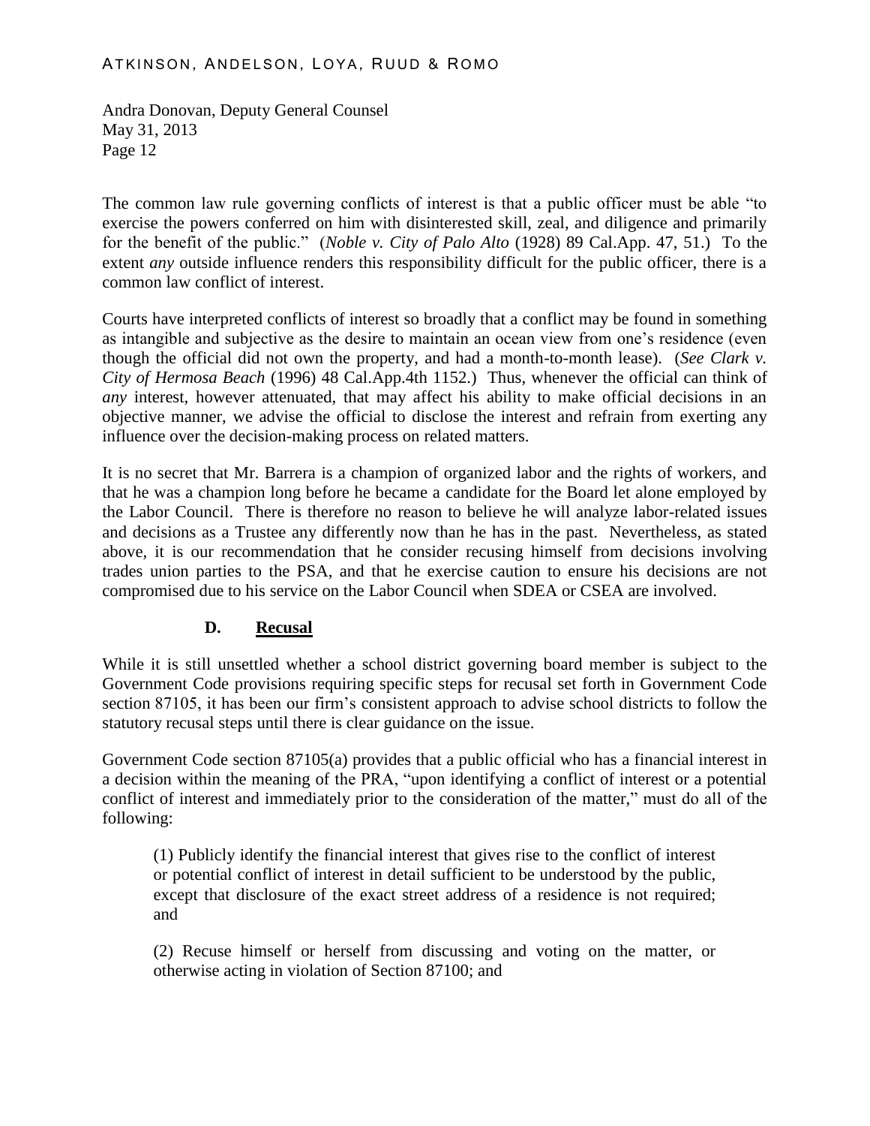#### ATKINSON, ANDELSON, LOYA, RUUD & ROMO

Andra Donovan, Deputy General Counsel May 31, 2013 Page 12

The common law rule governing conflicts of interest is that a public officer must be able "to exercise the powers conferred on him with disinterested skill, zeal, and diligence and primarily for the benefit of the public." (*Noble v. City of Palo Alto* (1928) 89 Cal.App. 47, 51.) To the extent *any* outside influence renders this responsibility difficult for the public officer, there is a common law conflict of interest.

Courts have interpreted conflicts of interest so broadly that a conflict may be found in something as intangible and subjective as the desire to maintain an ocean view from one's residence (even though the official did not own the property, and had a month-to-month lease). (*See Clark v. City of Hermosa Beach* (1996) 48 Cal.App.4th 1152.) Thus, whenever the official can think of *any* interest, however attenuated, that may affect his ability to make official decisions in an objective manner, we advise the official to disclose the interest and refrain from exerting any influence over the decision-making process on related matters.

It is no secret that Mr. Barrera is a champion of organized labor and the rights of workers, and that he was a champion long before he became a candidate for the Board let alone employed by the Labor Council. There is therefore no reason to believe he will analyze labor-related issues and decisions as a Trustee any differently now than he has in the past. Nevertheless, as stated above, it is our recommendation that he consider recusing himself from decisions involving trades union parties to the PSA, and that he exercise caution to ensure his decisions are not compromised due to his service on the Labor Council when SDEA or CSEA are involved.

# **D. Recusal**

While it is still unsettled whether a school district governing board member is subject to the Government Code provisions requiring specific steps for recusal set forth in Government Code section 87105, it has been our firm's consistent approach to advise school districts to follow the statutory recusal steps until there is clear guidance on the issue.

Government Code section 87105(a) provides that a public official who has a financial interest in a decision within the meaning of the PRA, "upon identifying a conflict of interest or a potential conflict of interest and immediately prior to the consideration of the matter," must do all of the following:

(1) Publicly identify the financial interest that gives rise to the conflict of interest or potential conflict of interest in detail sufficient to be understood by the public, except that disclosure of the exact street address of a residence is not required; and

(2) Recuse himself or herself from discussing and voting on the matter, or otherwise acting in violation of Section 87100; and